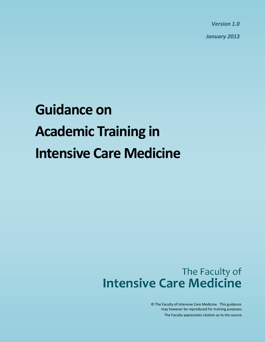*Version 1.0*

*January 2013*

# **Guidance on Academic Training in Intensive Care Medicine**

# The Faculty of **Intensive Care Medicine**

may however be reproduced for training purposes. The Faculty appreciates citation as to the source. © The Faculty of Intensive Care Medicine. This guidance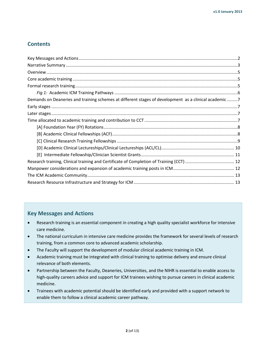# **Contents**

| Demands on Deaneries and training schemes at different stages of development as a clinical academic 7 |  |
|-------------------------------------------------------------------------------------------------------|--|
|                                                                                                       |  |
|                                                                                                       |  |
|                                                                                                       |  |
|                                                                                                       |  |
|                                                                                                       |  |
|                                                                                                       |  |
|                                                                                                       |  |
|                                                                                                       |  |
|                                                                                                       |  |
|                                                                                                       |  |
|                                                                                                       |  |
|                                                                                                       |  |

# **Key Messages and Actions**

- Research training is an essential component in creating a high quality specialist workforce for intensive care medicine.
- <span id="page-1-0"></span> The national curriculum in intensive care medicine provides the framework for several levels of research training, from a common core to advanced academic scholarship.
- The Faculty will support the development of modular clinical academic training in ICM.
- Academic training must be integrated with clinical training to optimise delivery and ensure clinical relevance of both elements.
- Partnership between the Faculty, Deaneries, Universities, and the NIHR is essential to enable access to high-quality careers advice and support for ICM trainees wishing to pursue careers in clinical academic medicine.
- Trainees with academic potential should be identified early and provided with a support network to enable them to follow a clinical academic career pathway.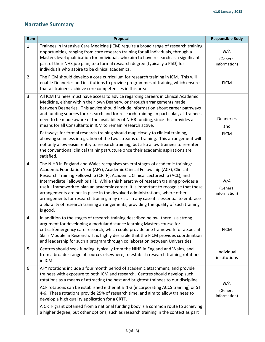# <span id="page-2-0"></span>**Narrative Summary**

| Item           | Proposal                                                                                                                                                                                                                                                                                                                                                                                                                                                                                                                                                                                                                                                                                                                                                                                                                                                           | <b>Responsible Body</b>         |
|----------------|--------------------------------------------------------------------------------------------------------------------------------------------------------------------------------------------------------------------------------------------------------------------------------------------------------------------------------------------------------------------------------------------------------------------------------------------------------------------------------------------------------------------------------------------------------------------------------------------------------------------------------------------------------------------------------------------------------------------------------------------------------------------------------------------------------------------------------------------------------------------|---------------------------------|
| $\mathbf{1}$   | Trainees in Intensive Care Medicine (ICM) require a broad range of research training<br>opportunities, ranging from core research training for all individuals, through a<br>Masters level qualification for individuals who aim to have research as a significant<br>part of their NHS job plan, to a formal research degree (typically a PhD) for<br>individuals who aspire to be clinical academics.                                                                                                                                                                                                                                                                                                                                                                                                                                                            | N/A<br>(General<br>information) |
| $\overline{2}$ | The FICM should develop a core curriculum for research training in ICM. This will<br>enable Deaneries and institutions to provide programmes of training which ensure<br>that all trainees achieve core competencies in this area.                                                                                                                                                                                                                                                                                                                                                                                                                                                                                                                                                                                                                                 | <b>FICM</b>                     |
| 3              | All ICM trainees must have access to advice regarding careers in Clinical Academic<br>Medicine, either within their own Deanery, or through arrangements made<br>between Deaneries. This advice should include information about career pathways<br>and funding sources for research and for research training. In particular, all trainees<br>need to be made aware of the availability of NIHR funding, since this provides a<br>means for all Consultants in ICM to remain research active.<br>Pathways for formal research training should map closely to clinical training,<br>allowing seamless integration of the two streams of training. This arrangement will<br>not only allow easier entry to research training, but also allow trainees to re-enter<br>the conventional clinical training structure once their academic aspirations are<br>satisfied. | Deaneries<br>and<br><b>FICM</b> |
| $\overline{4}$ | The NIHR in England and Wales recognises several stages of academic training:<br>Academic Foundation Year (AFY), Academic Clinical Fellowship (ACF), Clinical<br>Research Training Fellowship (CRTF), Academic Clinical Lectureship (ACL), and<br>Intermediate Fellowships (IF). While this hierarchy of research training provides a<br>useful framework to plan an academic career, it is important to recognise that these<br>arrangements are not in place in the devolved administrations, where other<br>arrangements for research training may exist. In any case it is essential to embrace<br>a plurality of research training arrangements, providing the quality of such training<br>is good.                                                                                                                                                           | N/A<br>(General<br>information) |
| 4              | In addition to the stages of research training described below, there is a strong<br>argument for developing a modular distance learning Masters course for<br>critical/emergency care research, which could provide one framework for a Special<br>Skills Module in Research. It is highly desirable that the FICM provides coordination<br>and leadership for such a program through collaboration between Universities.                                                                                                                                                                                                                                                                                                                                                                                                                                         | <b>FICM</b>                     |
| 5              | Centres should seek funding, typically from the NIHR in England and Wales, and<br>from a broader range of sources elsewhere, to establish research training rotations<br>in ICM.                                                                                                                                                                                                                                                                                                                                                                                                                                                                                                                                                                                                                                                                                   | Individual<br>institutions      |
| 6              | AFY rotations include a four month period of academic attachment, and provide<br>trainees with exposure to both ICM and research. Centres should develop such<br>rotations as a means of attracting the best and brightest trainees to our discipline.<br>ACF rotations can be established either at ST1-3 (incorporating ACCS training) or ST<br>4-6. These rotations provide 25% of research time, and aim to allow trainees to<br>develop a high quality application for a CRTF.<br>A CRTF grant obtained from a national funding body is a common route to achieving<br>a higher degree, but other options, such as research training in the context as part                                                                                                                                                                                                   | N/A<br>(General<br>information) |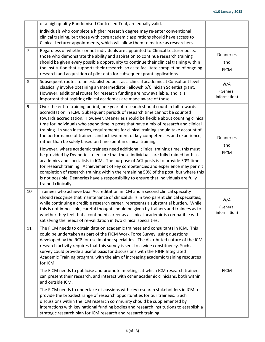|                  | of a high quality Randomised Controlled Trial, are equally valid.                                                                                                                                                                                                                                                                                                                                                                                                                                                                                                                                                                                                                                                                                                                                                                                                                                                                                                                                                                                                                                                                                                |                                 |
|------------------|------------------------------------------------------------------------------------------------------------------------------------------------------------------------------------------------------------------------------------------------------------------------------------------------------------------------------------------------------------------------------------------------------------------------------------------------------------------------------------------------------------------------------------------------------------------------------------------------------------------------------------------------------------------------------------------------------------------------------------------------------------------------------------------------------------------------------------------------------------------------------------------------------------------------------------------------------------------------------------------------------------------------------------------------------------------------------------------------------------------------------------------------------------------|---------------------------------|
|                  | Individuals who complete a higher research degree may re-enter conventional<br>clinical training, but those with core academic aspirations should have access to<br>Clinical Lecturer appointments, which will allow them to mature as researchers.                                                                                                                                                                                                                                                                                                                                                                                                                                                                                                                                                                                                                                                                                                                                                                                                                                                                                                              |                                 |
| $\overline{7}$   | Regardless of whether or not individuals are appointed to Clinical Lecturer posts,<br>those who demonstrate the ability and aspiration to continue research training<br>should be given every possible opportunity to continue their clinical training within<br>the institution that supports their research, so as to facilitate completion of ongoing<br>research and acquisition of pilot data for subsequent grant applications.                                                                                                                                                                                                                                                                                                                                                                                                                                                                                                                                                                                                                                                                                                                            | Deaneries<br>and<br><b>FICM</b> |
| 8                | Subsequent routes to an established post as a clinical academic at Consultant level<br>classically involve obtaining an Intermediate Fellowship/Clinician Scientist grant.<br>However, additional routes for research funding are now available, and it is<br>important that aspiring clinical academics are made aware of these.                                                                                                                                                                                                                                                                                                                                                                                                                                                                                                                                                                                                                                                                                                                                                                                                                                | N/A<br>(General<br>information) |
| $\boldsymbol{9}$ | Over the entire training period, one year of research should count in full towards<br>accreditation in ICM. Subsequent periods of research time cannot be counted<br>towards accreditation. However, Deaneries should be flexible about counting clinical<br>time for individuals who spend time in posts that have a mix of research and clinical<br>training. In such instances, requirements for clinical training should take account of<br>the performance of trainees and achievement of key competencies and experience,<br>rather than be solely based on time spent in clinical training.<br>However, where academic trainees need additional clinical training time, this must<br>be provided by Deaneries to ensure that these individuals are fully trained both as<br>academics and specialists in ICM. The purpose of ACL posts is to provide 50% time<br>for research training. Achievement of key competencies and experience may permit<br>completion of research training within the remaining 50% of the post, but where this<br>is not possible, Deaneries have a responsibility to ensure that individuals are fully<br>trained clinically. | Deaneries<br>and<br><b>FICM</b> |
| 10               | Trainees who achieve Dual Accreditation in ICM and a second clinical specialty<br>should recognise that maintenance of clinical skills in two parent clinical specialties,<br>while continuing a credible research career, represents a substantial burden. While<br>this is not impossible, careful thought should be given by trainers and trainees as to<br>whether they feel that a continued career as a clinical academic is compatible with<br>satisfying the needs of re-validation in two clinical specialties.                                                                                                                                                                                                                                                                                                                                                                                                                                                                                                                                                                                                                                         | N/A<br>(General<br>information) |
| 11               | The FICM needs to obtain data on academic trainees and consultants in ICM. This<br>could be undertaken as part of the FICM Work Force Survey, using questions<br>developed by the RCP for use in other specialties. The distributed nature of the ICM<br>research activity requires that this survey is sent to a wide constituency. Such a<br>survey could provide a useful basis for discussions with the NIHR Integrated<br>Academic Training program, with the aim of increasing academic training resources<br>for ICM.<br>The FICM needs to publicise and promote meetings at which ICM research trainees<br>can present their research, and interact with other academic clinicians, both within<br>and outside ICM.<br>The FICM needs to undertake discussions with key research stakeholders in ICM to<br>provide the broadest range of research opportunities for our trainees. Such<br>discussions within the ICM research community should be supplemented by<br>interactions with key national funding bodies and research institutions to establish a<br>strategic research plan for ICM research and research training.                           | <b>FICM</b>                     |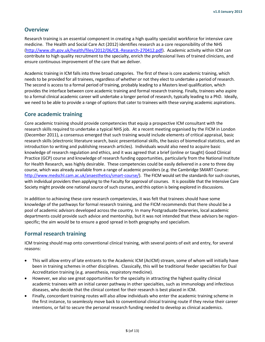#### <span id="page-4-0"></span>**Overview**

Research training is an essential component in creating a high quality specialist workforce for intensive care medicine. The Health and Social Care Act (2012) identifies research as a core responsibility of the NHS [\(http://www.dh.gov.uk/health/files/2012/06/C8.-Research-270412.pdf\)](http://www.dh.gov.uk/health/files/2012/06/C8.-Research-270412.pdf). Academic activity within ICM can contribute to high quality recruitment to the specialty, enrich the professional lives of trained clinicians, and ensure continuous improvement of the care that we deliver.

Academic training in ICM falls into three broad categories. The first of these is core academic training, which needs to be provided for all trainees, regardless of whether or not they elect to undertake a period of research. The second is access to a formal period of training, probably leading to a Masters level qualification, which provides the interface between core academic training and formal research training. Finally, trainees who aspire to a formal clinical academic career will undertake a longer period of research, typically leading to a PhD. Ideally, we need to be able to provide a range of options that cater to trainees with these varying academic aspirations.

#### <span id="page-4-1"></span>**Core academic training**

Core academic training should provide competencies that equip a prospective ICM consultant with the research skills required to undertake a typical NHS job. At a recent meeting organised by the FICM in London (December 2011), a consensus emerged that such training would include elements of critical appraisal, basic research skills (electronic literature search, basic presentational skills, the basics of biomedical statistics, and an introduction to writing and publishing research articles). Individuals would also need to acquire basic knowledge of research regulation and ethics, and it was agreed that a brief (online or taught) Good Clinical Practice (GCP) course and knowledge of research funding opportunities, particularly from the National Institute for Health Research, was highly desirable. These competencies could be easily delivered in a one to three day course, which was already available from a range of academic providers (e.g. the Cambridge SMART Course: [http://www.medschl.cam.ac.uk/anaesthetics/smart-course/\)](http://www.medschl.cam.ac.uk/anaesthetics/smart-course/). The FICM would set the standards for such courses, with individual providers then applying to the Faculty for approval of courses. It is possible that the Intensive Care Society might provide one national source of such courses, and this option is being explored in discussions.

In addition to achieving these core research competencies, it was felt that trainees should have some knowledge of the pathways for formal research training, and the FICM recommends that there should be a pool of academic advisors developed across the country. In many Postgraduate Deaneries, local academic departments could provide such advice and mentorship, but it was not intended that these advisors be regionspecific; the aim would be to ensure a good spread in both geography and specialism.

#### <span id="page-4-2"></span>**Formal research training**

ICM training should map onto conventional clinical training, with several points of exit and entry, for several reasons:

- This will allow entry of late entrants to the Academic ICM (AcICM) stream, some of whom will initially have been in training schemes in other disciplines. Classically, this will be traditional feeder specialties for Dual Accreditation training (e.g. anaesthesia, respiratory medicine).
- However, we also see great opportunities for the specialty in attracting the highest quality clinical academic trainees with an initial career pathway in other specialties, such as immunology and infectious diseases, who decide that the clinical context for their research is best placed in ICM.
- Finally, concordant training routes will also allow individuals who enter the academic training scheme in the first instance, to seamlessly move back to conventional clinical training route if they revise their career intentions, or fail to secure the personal research funding needed to develop as clinical academics.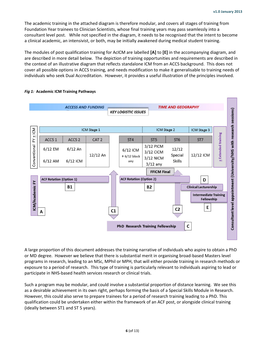The academic training in the attached diagram is therefore modular, and covers all stages of training from Foundation Year trainees to Clinician Scientists, whose final training years may pass seamlessly into a consultant level post. While not specified in the diagram, it needs to be recognised that the intent to become a clinical academic, an intensivist, or both, may be initially awakened during medical student training.

The modules of post qualification training for AcICM are labelled **[A]** to **[E]** in the accompanying diagram, and are described in more detail below. The depiction of training opportunities and requirements are described in the context of an illustrative diagram that reflects standalone ICM from an ACCS background. This does not cover all possible options in ACCS training, and needs modification to make it generalisable to training needs of individuals who seek Dual Accreditation. However, it provides a useful illustration of the principles involved.



#### <span id="page-5-0"></span>*Fig 1:* **Academic ICM Training Pathways**

A large proportion of this document addresses the training narrative of individuals who aspire to obtain a PhD or MD degree. However we believe that there is substantial merit in organising broad-based Masters level programs in research, leading to an MSc, MPhil or MPH, that will either provide training in research methods or exposure to a period of research. This type of training is particularly relevant to individuals aspiring to lead or participate in NHS-based health services research or clinical trials.

Such a program may be modular, and could involve a substantial proportion of distance learning. We see this as a desirable achievement in its own right, perhaps forming the basis of a Special Skills Module in Research. However, this could also serve to prepare trainees for a period of research training leading to a PhD. This qualification could be undertaken either within the framework of an ACF post, or alongside clinical training (ideally between ST1 and ST 5 years).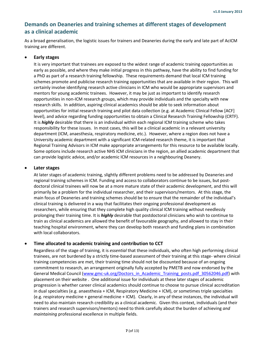# <span id="page-6-0"></span>**Demands on Deaneries and training schemes at different stages of development as a clinical academic**

As a broad generalisation, the logistic issues for trainers and Deaneries during the early and late part of AcICM training are different.

#### <span id="page-6-1"></span>**Early stages**

It is very important that trainees are exposed to the widest range of academic training opportunities as early as possible, and where they make initial progress in this pathway, have the ability to find funding for a PhD as part of a research training fellowship. These requirements demand that local ICM training schemes promote and publicise research training opportunities that are available in their region. This will certainly involve identifying research active clinicians in ICM who would be appropriate supervisors and mentors for young academic trainees. However, it may be just as important to identify research opportunities in non-ICM research groups, which may provide individuals and the specialty with new research skills. In addition, aspiring clinical academics should be able to seek information about opportunities for initial research training and pilot data collection (e.g. at Academic Clinical Fellow [ACF] level), and advice regarding funding opportunities to obtain a Clinical Research Training Fellowship (CRTF). It is *highly* desirable that there is an individual within each regional ICM training scheme who takes responsibility for these issues. In most cases, this will be a clinical academic in a relevant university department (ICM, anaesthesia, respiratory medicine, etc.). However, where a region does not have a University academic department with a significant ICM-related research theme, it is important that Regional Training Advisors in ICM make appropriate arrangements for this resource to be available locally. Some options include research active NHS ICM clinicians in the region, an allied academic department that can provide logistic advice, and/or academic ICM resources in a neighbouring Deanery.

#### <span id="page-6-2"></span>**Later stages**

At later stages of academic training, slightly different problems need to be addressed by Deaneries and regional training schemes in ICM. Funding and access to collaborators continue to be issues, but postdoctoral clinical trainees will now be at a more mature state of their academic development, and this will primarily be a problem for the individual researcher, and their supervisors/mentors. At this stage, the main focus of Deaneries and training schemes should be to ensure that the remainder of the individual's clinical training is delivered in a way that facilitates their ongoing professional development as researchers, while ensuring that they complete high quality clinical ICM training without needlessly prolonging their training time. It is *highly* desirable that postdoctoral clinicians who wish to continue to train as clinical academics are allowed the benefit of favourable geography, and allowed to stay in their teaching hospital environment, where they can develop both research and funding plans in combination with local collaborators.

#### <span id="page-6-3"></span>**Time allocated to academic training and contribution to CCT**

Regardless of the stage of training, it is *essential* that these individuals, who often high performing clinical trainees, are not burdened by a strictly time-based assessment of their training at this stage- where clinical training competencies are met, their training time should not be discounted because of an ongoing commitment to research, an arrangement originally fully accepted by PMETB and now endorsed by the General Medical Council [\(www.gmc-uk.org/Doctors\\_in\\_Academic\\_Training\\_posts.pdf\\_30562046.pdf\)](http://www.gmc-uk.org/Doctors_in_Academic_Training_posts.pdf_30562046.pdf) with placement on their website . One additional issue for individuals at these later stages of academic progression is whether career clinical academics should continue to choose to pursue clinical accreditation in dual specialties (e.g. anaesthesia + ICM, Respiratory Medicine + ICM), or sometimes triple specialties (e.g. respiratory medicine + general medicine + ICM). Clearly, in any of these instances, the individual will need to also maintain research credibility as a clinical academic. Given this context, individuals (and their trainers and research supervisors/mentors) need to think carefully about the burden of achieving *and maintaining* professional excellence in multiple fields.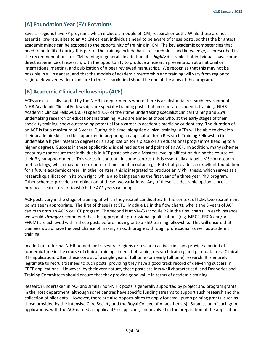# <span id="page-7-0"></span>**[A] Foundation Year (FY) Rotations**

Several regions have FY programs which include a module of ICM, research or both. While these are not essential pre-requisites to an AcICM career, individuals need to be aware of these posts, so that the brightest academic minds can be exposed to the opportunity of training in ICM. The key academic competencies that need to be fulfilled during this part of the training include basic research skills and knowledge, as prescribed in the recommendations for ICM training in general. In addition, it is *highly* desirable that individuals have some direct experience of research, with the opportunity to produce a research presentation at a national or international meeting, and publication of a peer reviewed manuscript. We recognise that this may not be possible in all instances, and that the models of academic mentorship and training will vary from region to region. However, wider exposure to the research field should be one of the aims of this program.

# <span id="page-7-1"></span>**[B] Academic Clinical Fellowships (ACF)**

ACFs are classically funded by the NIHR in departments where there is a substantial research environment. NIHR Academic Clinical Fellowships are specialty training posts that incorporate academic training. NIHR Academic Clinical Fellows (ACFs) spend 75% of their time undertaking specialist clinical training and 25% undertaking research or educationalist training. ACFs are aimed at those who, at the early stages of their specialty training, show outstanding potential for a career in academic medicine or dentistry. The duration of an ACF is for a maximum of 3 years. During this time, alongside clinical training, ACFs will be able to develop their academic skills and be supported in preparing an application for a Research Training Fellowship (to undertake a higher research degree) or an application for a place on an educational programme (leading to a higher degree). Success in these applications is defined as the end point of an ACF. In addition, many schemes encourage (or ensure that individuals in ACF posts achieve a Masters level qualification during the course of their 3 year appointment. This varies in content. In some centres this is essentially a taught MSc in research methodology, which may not contribute to time spent in obtaining a PhD, but provides an excellent foundation for a future academic career. In other centres, this is integrated to produce an MPhil thesis, which serves as a research qualification in its own right, while also being seen as the first year of a three year PhD program. Other schemes provide a combination of these two variations. Any of these is a desirable option, since it produces a structure onto which the ACF years can map.

ACF posts vary in the stage of training at which they recruit candidates. In the context of ICM, two recruitment points seem appropriate. The first of these is at ST1 (Module B1 in the flow chart), where the 3 years of ACF can map onto an ACCS or CCT program. The second is at ST4/5 (Module B2 in the flow chart). In each instance, we would *strongly* recommend that the appropriate professional qualifications (e.g. MRCP, FRCA and/or FFICM) are achieved within these posts before moving onto a PhD training fellowship. This will ensure that trainees would have the best chance of making smooth progress through professional as well as academic training.

In addition to formal NIHR funded posts, several regions or research active clinicians provide a period of academic time in the course of clinical training aimed at obtaining research training and pilot data for a Clinical RTF application. Often these consist of a single year of full time (or nearly full time) research. It is entirely legitimate to recruit trainees to such posts, providing they have a good track record of delivering success in CRTF applications. However, by their very nature, these posts are less well characterised, and Deaneries and Training Committees should ensure that they provide good value in terms of academic training.

Research undertaken in ACF and similar non-NIHR posts is generally supported by project and program grants in the host department, although some centres have specific funding streams to support such research and the collection of pilot data. However, there are also opportunities to apply for small pump priming grants (such as those provided by the Intensive Care Society and the Royal College of Anaesthetists). Submission of such grant applications, with the ACF named as applicant/co-applicant, and involved in the preparation of the application,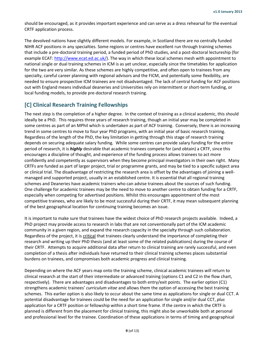should be encouraged, as it provides important experience and can serve as a dress rehearsal for the eventual CRTF application process.

The devolved nations have slightly different models. For example, in Scotland there are no centrally funded NIHR ACF positions in any specialties. Some regions or centres have excellent run through training schemes that include a pre-doctoral training period, a funded period of PhD studies, and a post-doctoral lectureship (for example ECAT[: http://www.ecat.ed.ac.uk/\)](http://www.ecat.ed.ac.uk/). The way in which these local schemes mesh with appointment to national single or dual training schemes in ICM is as yet unclear, especially since the timetables for application for the two are very similar. As these schemes are highly competitive, and often open to trainees from any specialty, careful career planning with regional advisors and the FICM, and potentially some flexibility, are needed to ensure prospective ICM trainees are not disadvantaged. The lack of central funding for ACF positions out with England means individual deaneries and Universities rely on intermittent or short-term funding, or local funding models, to provide pre-doctoral research training.

# <span id="page-8-0"></span>**[C] Clinical Research Training Fellowships**

The next step is the completion of a higher degree. In the context of training as a clinical academic, this should ideally be a PhD. This requires three years of research training, though an initial year may be completed in some centres as part of an MPhil which is undertaken as part of ACF training. Conversely, there is an increasing trend in some centres to move to four year PhD programs, with an initial year of basic research training. Regardless of the length of the PhD, the key limitation in getting through this stage of research training depends on securing adequate salary funding. While some centres can provide salary funding for the entire period of research, it is *highly* desirable that academic trainees compete for (and obtain) a CRTF, since this encourages a discipline of thought, and experience of the funding process allows trainees to act more confidently and competently as supervisors when they become principal investigators in their own right. Many CRTFs are funded as part of larger project, trial or programme grants, and may be tied to a specific subject area or clinical trial. The disadvantage of restricting the research area is offset by the advantages of joining a wellmanaged and supported project, usually in an established centre. It is essential that all regional training schemes and Deaneries have academic trainers who can advise trainees about the sources of such funding. One challenge for academic trainees may be the need to move to another centre to obtain funding for a CRTF, especially when competing for advertised positions. Whilst this encourages appointment of the most competitive trainees, who are likely to be most successful during their CRTF, it may mean subsequent planning of the best geographical location for continuing training becomes an issue.

It is important to make sure that trainees have the widest choice of PhD research projects available. Indeed, a PhD project may provide access to research in labs that are not conventionally part of the ICM academic community in a given region, and expand the research capacity in the specialty through such collaboration. Regardless of the project, it is critical that trainees clearly understand the importance of completing their research and writing up their PhD thesis (and at least some of the related publications) during the course of their CRTF. Attempts to acquire additional data after return to clinical training are rarely successful, and even completion of a thesis after individuals have returned to their clinical training schemes places substantial burdens on trainees, and compromises both academic progress and clinical training.

Depending on where the ACF years map onto the training scheme, clinical academic trainees will return to clinical research at the start of their intermediate or advanced training (options C1 and C2 in the flow chart, respectively). There are advantages and disadvantages to both entry/exit points. The earlier option (C1) strengthens academic trainees' *curriculum vitae* and allows them the option of accessing the best training schemes. This earlier option is also likely to occur about the same time as applications for single or dual CCT. A potential disadvantage for trainees could be the need for an application for single and/or dual CCT, *plus* application for a CRTF position or fellowship within a short time frame. If the centre in which the CRTF is planned is different from the placement for clinical training, this might also be unworkable both at personal and professional level for the trainee. Coordination of these applications in terms of timing and geographical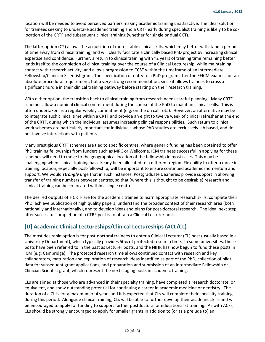location will be needed to avoid perceived barriers making academic training unattractive. The ideal solution for trainees seeking to undertake academic training and a CRTF early during specialist training is likely to be colocation of the CRTF and subsequent clinical training (whether for single or dual CCT).

The latter option (C2) allows the acquisition of more stable clinical skills, which may better withstand a period of time away from clinical training, and will clearly facilitate a clinically based PhD project by increasing clinical expertise and confidence. Further, a return to clinical training with ~2 years of training time remaining better lends itself to the completion of clinical training over the course of a Clinical Lectureship, while maintaining contact with research activity, and allows progression to CCST within the timeframe of an Intermediate Fellowship/Clinician Scientist grant. The specification of entry to a PhD program after the FFICM exam is not an absolute procedural requirement, but a *very* strong recommendation, since it allows trainees to cross a significant hurdle in their clinical training pathway before starting on their research training.

With either option, the transition back to clinical training from research needs careful planning. Many CRTF schemes allow a nominal clinical commitment during the course of the PhD to maintain clinical skills. This is often undertaken as a regular weekly commitment (e.g. on the on call rota). However, an alternative may be to integrate such clinical time within a CRTF and provide an eight to twelve week of clinical refresher at the end of the CRTF, during which the individual assumes increasing clinical responsibilities. Such return to clinical work schemes are particularly important for individuals whose PhD studies are exclusively lab based, and do not involve interactions with patients.

Many prestigious CRTF schemes are tied to specific centres, where generic funding has been obtained to offer PhD training fellowships from funders such as MRC or Wellcome. ICM trainees successful in applying for these schemes will need to move to the geographical location of the fellowship in most cases. This may be challenging when clinical training has already been allocated to a different region. Flexibility to offer a move in training location, especially post-fellowship, will be important to ensure continued academic momentum and support. We would *strongly* urge that in such instances, Postgraduate Deaneries provide support in allowing transfer of training numbers between centres, so that (where this is thought to be desirable) research and clinical training can be co-located within a single centre.

The desired outputs of a CRTF are for the academic trainee to learn appropriate research skills, complete their PhD, achieve publication of high quality papers, understand the broader context of their research area (both nationally and internationally), and to develop ideas and plans for post-doctoral research. The ideal next step after successful completion of a CTRF post is to obtain a Clinical Lecturer post.

# <span id="page-9-0"></span>**[D] Academic Clinical Lectureships/Clinical Lectureships (ACL/CL)**

The most desirable option is for post-doctoral trainees to enter a Clinical Lecturer (CL) post (usually based in a University Department), which typically provides 50% of protected research time. In some universities, these posts have been referred to in the past as Lecturer posts, and the NIHR has now begun to fund these posts in ICM (e.g. Cambridge). The protected research time allows continued contact with research and key collaborators, maturation and exploration of research ideas identified as part of the PhD, collection of pilot data for subsequent grant applications, and preparation and submission of an Intermediate Fellowship or Clinician Scientist grant, which represent the next staging posts in academic training.

CLs are aimed at those who are advanced in their specialty training, have completed a research doctorate, or equivalent, and show outstanding potential for continuing a career in academic medicine or dentistry. The duration of a CL is for a maximum of 4 years and it is expected that CLs will complete their specialty training during this period. Alongside clinical training, CLs will be able to further develop their academic skills and will be encouraged to apply for funding to support further postdoctoral or educationalist training. As with ACFs, CLs should be strongly encouraged to apply for smaller grants in addition to (or as a prelude to) an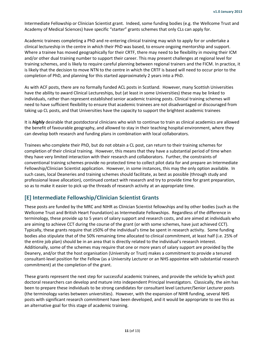Intermediate Fellowship or Clinician Scientist grant. Indeed, some funding bodies (e.g. the Wellcome Trust and Academy of Medical Sciences) have specific "starter" grants schemes that only CLs can apply for.

Academic trainees completing a PhD and re-entering clinical training may wish to apply for or undertake a clinical lectureship in the centre in which their PhD was based, to ensure ongoing mentorship and support. Where a trainee has moved geographically for their CRTF, there may need to be flexibility in moving their ICM and/or other dual training number to support their career. This may present challenges at regional level for training schemes, and is likely to require careful planning between regional trainers and the FICM. In practice, it is likely that the decision to move NTN to the centre in which the CRTF is based will need to occur prior to the completion of PhD, and planning for this started approximately 2 years into a PhD.

As with ACF posts, there are no formally funded ACL posts in Scotland. However, many Scottish Universities have the ability to award Clinical Lectureships, but (at least in some Universities) these may be linked to individuals, rather than represent established senior academic training posts. Clinical training schemes will need to have sufficient flexibility to ensure that academic trainees are not disadvantaged or discouraged from taking up CL posts, and that Universities have the capacity to support the brightest academic trainees

It is *highly* desirable that postdoctoral clinicians who wish to continue to train as clinical academics are allowed the benefit of favourable geography, and allowed to stay in their teaching hospital environment, where they can develop both research and funding plans in combination with local collaborators.

Trainees who complete their PhD, but do not obtain a CL post, can return to their training schemes for completion of their clinical training. However, this means that they have a substantial period of time when they have very limited interaction with their research and collaborators. Further, the constraints of conventional training schemes provide no protected time to collect pilot data for and prepare an Intermediate Fellowship/Clinician Scientist application. However, in some instances, this may the only option available. In such cases, local Deaneries and training schemes should facilitate, as best as possible (through study and professional leave allocation), continued contact with research and try to provide time for grant preparation, so as to make it easier to pick up the threads of research activity at an appropriate time.

# <span id="page-10-0"></span>**[E] Intermediate Fellowship/Clinician Scientist Grants**

These posts are funded by the MRC and NIHR as Clinician Scientist fellowships and by other bodies (such as the Wellcome Trust and British Heart Foundation) as Intermediate Fellowships. Regardless of the difference in terminology, these provide up to 5 years of salary support and research costs, and are aimed at individuals who are aiming to achieve CCT during the course of the grant (or with some schemes, have just achieved CCT). Typically, these grants require that ≥50% of the individual's time be spent in research activity. Some funding bodies also stipulate that of the 50% remaining time allocated to clinical commitment, at least half (i.e. 25% of the entire job plan) should be in an area that is directly related to the individual's research interest. Additionally, some of the schemes may require that one or more years of salary support are provided by the Deanery, and/or that the host organisation (University or Trust) makes a commitment to provide a tenured consultant-level position for the Fellow (as a University Lecturer or an NHS appointee with substantial research commitment) at the completion of the grant.

These grants represent the next step for successful academic trainees, and provide the vehicle by which post doctoral researchers can develop and mature into independent Principal Investigators. Classically, the aim has been to prepare these individuals to be strong candidates for consultant level Lecturer/Senior Lecturer posts (the terminology varies between universities). However, with the expansion of NIHR funding, several NHS posts with significant research commitment have been developed, and it would be appropriate to see this as an alternative goal for this stage of academic training.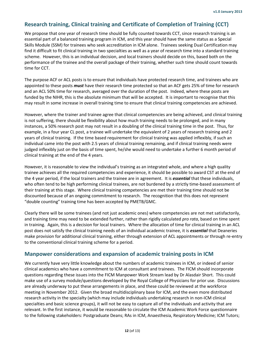# <span id="page-11-0"></span>**Research training, Clinical training and Certificate of Completion of Training (CCT)**

We propose that one year of research time should be fully counted towards CCT, since research training is an essential part of a balanced training program in ICM, and this year should have the same status as a Special Skills Module (SSM) for trainees who seek accreditation in ICM alone. Trainees seeking Dual Certification may find it difficult to fit clinical training in two specialties as well as a year of research time into a standard training scheme. However, this is an individual decision, and local trainers should decide on this, based both on the performance of the trainee and the overall package of their training, whether such time should count towards time for CCT.

The purpose ACF or ACL posts is to ensure that individuals have protected research time, and trainees who are appointed to these posts *must* have their research time protected so that an ACF gets 25% of time for research and an ACL 50% time for research, averaged over the duration of the post. Indeed, where these posts are funded by the NIHR, this is the absolute minimum that will be accepted. It is important to recognise that this may result in some increase in overall training time to ensure that clinical training competencies are achieved.

However, where the trainer and trainee agree that clinical competencies are being achieved, and clinical training is not suffering, there should be flexibility about how much training needs to be prolonged, and in many instances, a 50% research post may not result in a doubling of the clinical training time in the post. Thus, for example, in a four year CL post, a trainee will undertake the equivalent of 2 years of research training and 2 years of clinical training. If the time based requirement for clinical training was applied inflexibly, if such an individual came into the post with 2.5 years of clinical training remaining, and if clinical training needs were judged inflexibly just on the basis of time spent, he/she would need to undertake a further 6 month period of clinical training at the end of the 4 years.

However, it is reasonable to view the individual's training as an integrated whole, and where a high quality trainee achieves all the required competencies and experience, it should be possible to award CST at the end of the 4 year period, if the local trainers and the trainee are in agreement. It is *essential* that these individuals, who often tend to be high performing clinical trainees, are not burdened by a strictly time-based assessment of their training at this stage. Where clinical training competencies are met their training time should not be discounted because of an ongoing commitment to research. The recognition that this does not represent "double counting" training time has been accepted by PMETB/GMC.

Clearly there will be some trainees (and not just academic ones) where competencies are not met satisfactorily, and training time may need to be extended further, rather than rigidly calculated *pro rata*, based on time spent in training. Again, this is a decision for local trainers. Where the allocation of time for clinical training in an ACL post does not satisfy the clinical training needs of an individual academic trainee, it is *essential* that Deaneries make provision for additional clinical training, either through extension of ACL appointments or through re-entry to the conventional clinical training scheme for a period.

#### <span id="page-11-1"></span>**Manpower considerations and expansion of academic training posts in ICM**

We currently have very little knowledge about the numbers of academic trainees in ICM, or indeed of senior clinical academics who have a commitment to ICM at consultant and trainees. The FICM should incorporate questions regarding these issues into the FICM Manpower Work Stream lead by Dr Alasdair Short. This could make use of a survey module/questions developed by the Royal College of Physicians for prior use. Discussions are already underway to put these arrangements in place, and these could be reviewed at the workforce meeting in November 2012. Given the broad multidisciplinary base for ICM, and the even more distributed research activity in the specialty (which may include individuals undertaking research in non-ICM clinical specialties and basic science groups), it will not be easy to capture all of the individuals and activity that are relevant. In the first instance, it would be reasonable to circulate the ICM Academic Work Force questionnaire to the following stakeholders: Postgraduate Deans; RAs in ICM, Anaesthesia, Respiratory Medicine; ICM Tutors;